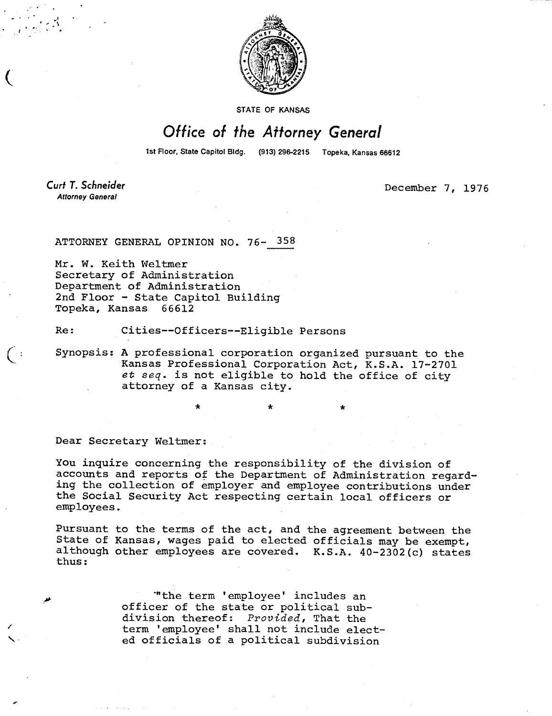

STATE OF KANSAS

## Office of the Attorney General

1st Floor, State Capitol Bldg. (913) 296-2215 Topeka, Kansas 66612

**Curt T. Schneider Attorney General** 

December 7, 1976

ATTORNEY GENERAL OPINION NO. 76- 358

Mr. W. Keith Weltmer Secretary of Administration Department of Administration 2nd Floor - State Capitol Building Topeka, Kansas 66612

Re: Cities--Officers--Eligible Persons

Synopsis: A professional corporation organized pursuant to the Kansas Professional Corporation Act, K.S.A. 17-2701 et seq. is not eligible to hold the office of city attorney of a Kansas city.

Dear Secretary Weltmer:

You inquire concerning the responsibility of the division of accounts and reports of the Department of Administration regarding the collection of employer and employee contributions under the Social Security Act respecting certain local officers or employees.

Pursuant to the terms of the act, and the agreement between the State of Kansas, wages paid to elected officials may be exempt, although other employees are covered. K.S.A. 40-2302(c) states thus:

> 'the term 'employee' includes an officer of the state or political subdivision thereof: Provided, That the term 'employee' shall not include elected officials of a political subdivision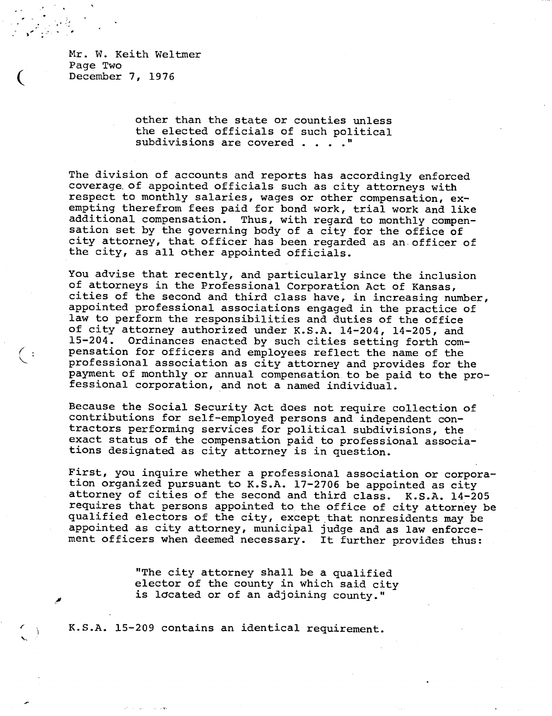Mr. W. Keith Weltmer Page Two December 7, 1976

ြေး

other than the state or counties unless the elected officials of such political subdivisions are covered . . . . "

The division of accounts and reports has accordingly enforced coverage, of appointed officials such as city attorneys with respect to monthly salaries, wages or other compensation, exempting therefrom fees paid for bond work, trial work and like additional compensation. Thus, with regard to monthly compensation set by the governing body of a city for the office of city attorney, that officer has been regarded as an officer of the city, as all other appointed officials.

You advise that recently, and particularly since the inclusion of attorneys in the Professional Corporation Act of Kansas, cities of the second and third class have, in increasing number, appointed professional associations engaged in the practice of law to perform the responsibilities and duties of the office of city attorney authorized under K.S.A. 14-204, 14-205, and 15-204. Ordinances enacted by such cities setting forth compensation for officers and employees reflect the name of the professional association as city attorney and provides for the payment of monthly or annual compensation to be paid to the professional corporation, and not a named individual.

Because the Social Security Act does not require collection of contributions for self-employed persons and independent contractors performing services for political subdivisions, the exact status of the compensation paid to professional associations designated as city attorney is in question.

First, you inquire whether a professional association or corporation organized pursuant to K.S.A. 17-2706 be appointed as city attorney of cities of the second and third class. K.S.A. 14-205 requires that persons appointed to the office of city attorney be qualified electors of the city, except that nonresidents may be appointed as city attorney, municipal judge and as law enforcement officers when deemed necessary. It further provides thus:

> "The city attorney shall be a qualified elector of the county in which said city is located or of an adjoining county."

K.S.A. 15-209 contains an identical requirement.